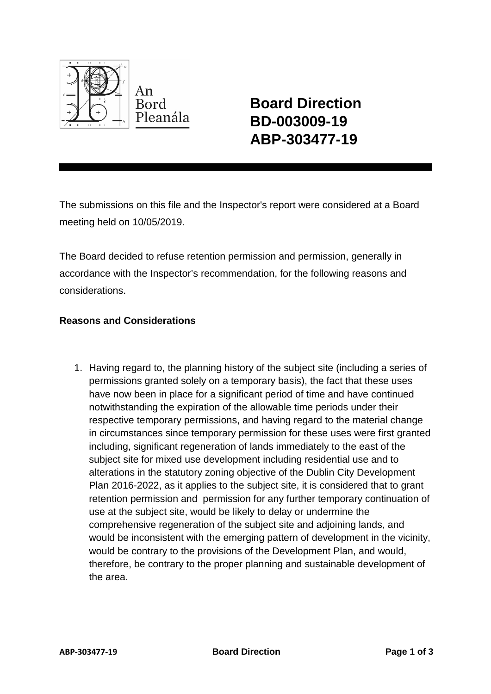

**Board Direction BD-003009-19 ABP-303477-19**

The submissions on this file and the Inspector's report were considered at a Board meeting held on 10/05/2019.

The Board decided to refuse retention permission and permission, generally in accordance with the Inspector's recommendation, for the following reasons and considerations.

## **Reasons and Considerations**

1. Having regard to, the planning history of the subject site (including a series of permissions granted solely on a temporary basis), the fact that these uses have now been in place for a significant period of time and have continued notwithstanding the expiration of the allowable time periods under their respective temporary permissions, and having regard to the material change in circumstances since temporary permission for these uses were first granted including, significant regeneration of lands immediately to the east of the subject site for mixed use development including residential use and to alterations in the statutory zoning objective of the Dublin City Development Plan 2016-2022, as it applies to the subject site, it is considered that to grant retention permission and permission for any further temporary continuation of use at the subject site, would be likely to delay or undermine the comprehensive regeneration of the subject site and adjoining lands, and would be inconsistent with the emerging pattern of development in the vicinity, would be contrary to the provisions of the Development Plan, and would, therefore, be contrary to the proper planning and sustainable development of the area.